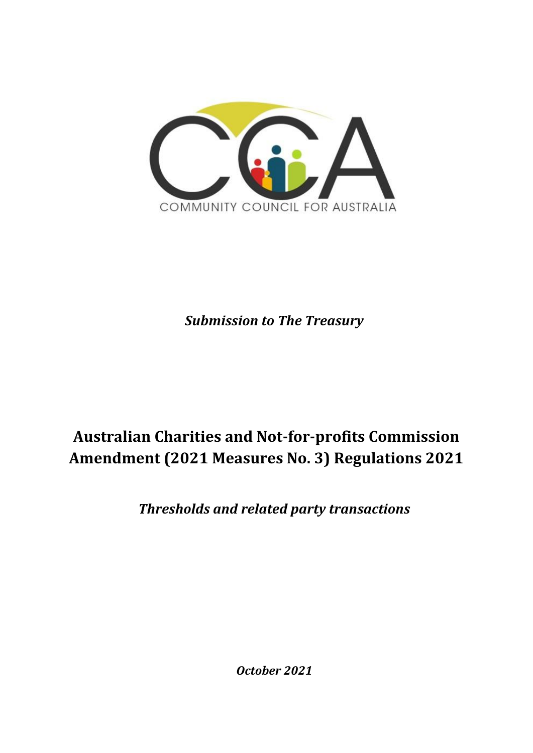

*Submission to The Treasury*

# **Australian Charities and Not-for-profits Commission Amendment (2021 Measures No. 3) Regulations 2021**

*Thresholds and related party transactions* 

*October 2021*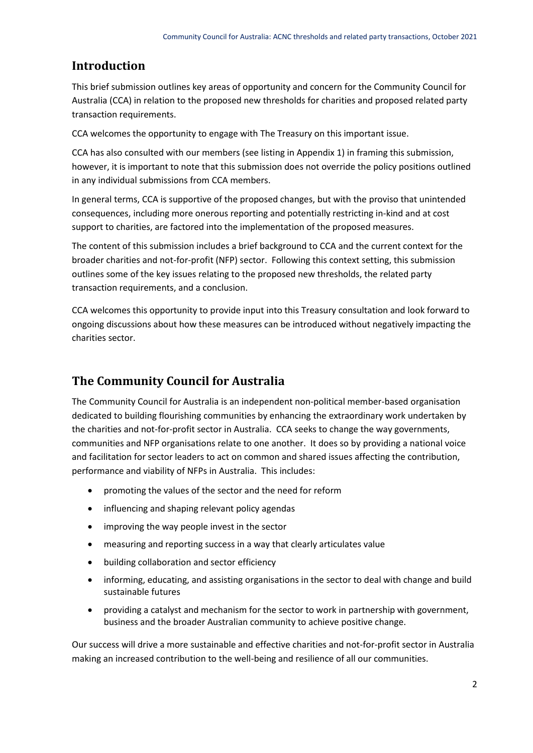## **Introduction**

This brief submission outlines key areas of opportunity and concern for the Community Council for Australia (CCA) in relation to the proposed new thresholds for charities and proposed related party transaction requirements.

CCA welcomes the opportunity to engage with The Treasury on this important issue.

CCA has also consulted with our members (see listing in Appendix 1) in framing this submission, however, it is important to note that this submission does not override the policy positions outlined in any individual submissions from CCA members.

In general terms, CCA is supportive of the proposed changes, but with the proviso that unintended consequences, including more onerous reporting and potentially restricting in-kind and at cost support to charities, are factored into the implementation of the proposed measures.

The content of this submission includes a brief background to CCA and the current context for the broader charities and not-for-profit (NFP) sector. Following this context setting, this submission outlines some of the key issues relating to the proposed new thresholds, the related party transaction requirements, and a conclusion.

CCA welcomes this opportunity to provide input into this Treasury consultation and look forward to ongoing discussions about how these measures can be introduced without negatively impacting the charities sector.

# **The Community Council for Australia**

The Community Council for Australia is an independent non-political member-based organisation dedicated to building flourishing communities by enhancing the extraordinary work undertaken by the charities and not-for-profit sector in Australia. CCA seeks to change the way governments, communities and NFP organisations relate to one another. It does so by providing a national voice and facilitation for sector leaders to act on common and shared issues affecting the contribution, performance and viability of NFPs in Australia. This includes:

- promoting the values of the sector and the need for reform
- influencing and shaping relevant policy agendas
- improving the way people invest in the sector
- measuring and reporting success in a way that clearly articulates value
- building collaboration and sector efficiency
- informing, educating, and assisting organisations in the sector to deal with change and build sustainable futures
- providing a catalyst and mechanism for the sector to work in partnership with government, business and the broader Australian community to achieve positive change.

Our success will drive a more sustainable and effective charities and not-for-profit sector in Australia making an increased contribution to the well-being and resilience of all our communities.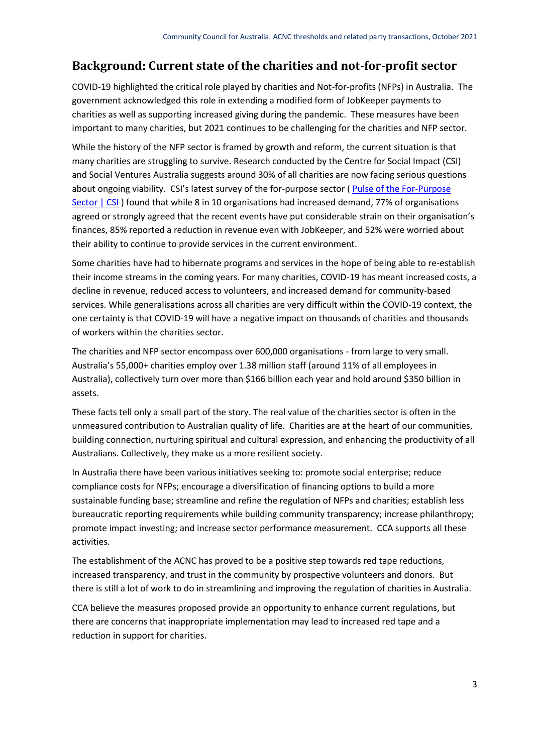# **Background: Current state of the charities and not-for-profit sector**

COVID-19 highlighted the critical role played by charities and Not-for-profits (NFPs) in Australia. The government acknowledged this role in extending a modified form of JobKeeper payments to charities as well as supporting increased giving during the pandemic. These measures have been important to many charities, but 2021 continues to be challenging for the charities and NFP sector.

While the history of the NFP sector is framed by growth and reform, the current situation is that many charities are struggling to survive. Research conducted by the Centre for Social Impact (CSI) and Social Ventures Australia suggests around 30% of all charities are now facing serious questions about ongoing viability. CSI's latest survey of the for-purpose sector [\( Pulse of the For-Purpose](https://www.csi.edu.au/research/project/pulse-of-the-for-purpose-sector/)  [Sector | CSI](https://www.csi.edu.au/research/project/pulse-of-the-for-purpose-sector/) ) found that while 8 in 10 organisations had increased demand, 77% of organisations agreed or strongly agreed that the recent events have put considerable strain on their organisation's finances, 85% reported a reduction in revenue even with JobKeeper, and 52% were worried about their ability to continue to provide services in the current environment.

Some charities have had to hibernate programs and services in the hope of being able to re-establish their income streams in the coming years. For many charities, COVID-19 has meant increased costs, a decline in revenue, reduced access to volunteers, and increased demand for community-based services. While generalisations across all charities are very difficult within the COVID-19 context, the one certainty is that COVID-19 will have a negative impact on thousands of charities and thousands of workers within the charities sector.

The charities and NFP sector encompass over 600,000 organisations - from large to very small. Australia's 55,000+ charities employ over 1.38 million staff (around 11% of all employees in Australia), collectively turn over more than \$166 billion each year and hold around \$350 billion in assets.

These facts tell only a small part of the story. The real value of the charities sector is often in the unmeasured contribution to Australian quality of life. Charities are at the heart of our communities, building connection, nurturing spiritual and cultural expression, and enhancing the productivity of all Australians. Collectively, they make us a more resilient society.

In Australia there have been various initiatives seeking to: promote social enterprise; reduce compliance costs for NFPs; encourage a diversification of financing options to build a more sustainable funding base; streamline and refine the regulation of NFPs and charities; establish less bureaucratic reporting requirements while building community transparency; increase philanthropy; promote impact investing; and increase sector performance measurement. CCA supports all these activities.

The establishment of the ACNC has proved to be a positive step towards red tape reductions, increased transparency, and trust in the community by prospective volunteers and donors. But there is still a lot of work to do in streamlining and improving the regulation of charities in Australia.

CCA believe the measures proposed provide an opportunity to enhance current regulations, but there are concerns that inappropriate implementation may lead to increased red tape and a reduction in support for charities.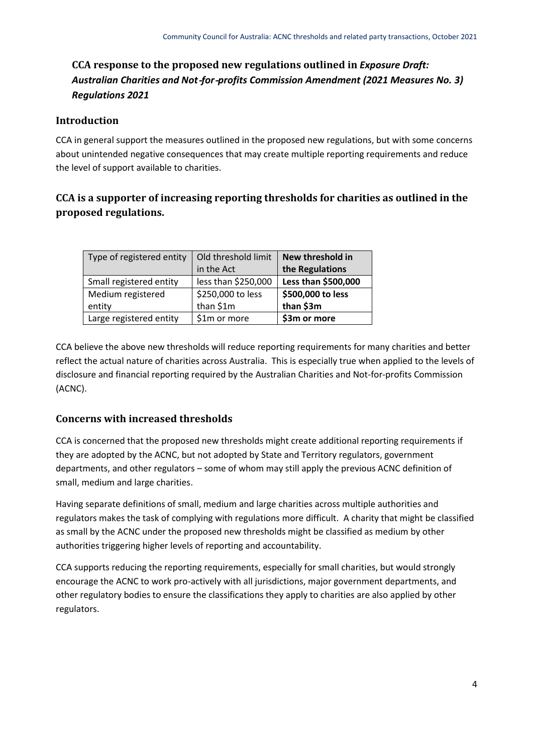# **CCA response to the proposed new regulations outlined in** *Exposure Draft: Australian Charities and Not*‑*for*‑*profits Commission Amendment (2021 Measures No. 3) Regulations 2021*

#### **Introduction**

CCA in general support the measures outlined in the proposed new regulations, but with some concerns about unintended negative consequences that may create multiple reporting requirements and reduce the level of support available to charities.

### **CCA is a supporter of increasing reporting thresholds for charities as outlined in the proposed regulations.**

| Type of registered entity   | Old threshold limit<br>in the Act | New threshold in<br>the Regulations |
|-----------------------------|-----------------------------------|-------------------------------------|
| Small registered entity     | less than \$250,000               | Less than \$500,000                 |
| Medium registered<br>entity | \$250,000 to less<br>than \$1m    | \$500,000 to less<br>than \$3m      |
| Large registered entity     | \$1m or more                      | \$3m or more                        |

CCA believe the above new thresholds will reduce reporting requirements for many charities and better reflect the actual nature of charities across Australia. This is especially true when applied to the levels of disclosure and financial reporting required by the Australian Charities and Not-for-profits Commission (ACNC).

#### **Concerns with increased thresholds**

CCA is concerned that the proposed new thresholds might create additional reporting requirements if they are adopted by the ACNC, but not adopted by State and Territory regulators, government departments, and other regulators – some of whom may still apply the previous ACNC definition of small, medium and large charities.

Having separate definitions of small, medium and large charities across multiple authorities and regulators makes the task of complying with regulations more difficult. A charity that might be classified as small by the ACNC under the proposed new thresholds might be classified as medium by other authorities triggering higher levels of reporting and accountability.

CCA supports reducing the reporting requirements, especially for small charities, but would strongly encourage the ACNC to work pro-actively with all jurisdictions, major government departments, and other regulatory bodies to ensure the classifications they apply to charities are also applied by other regulators.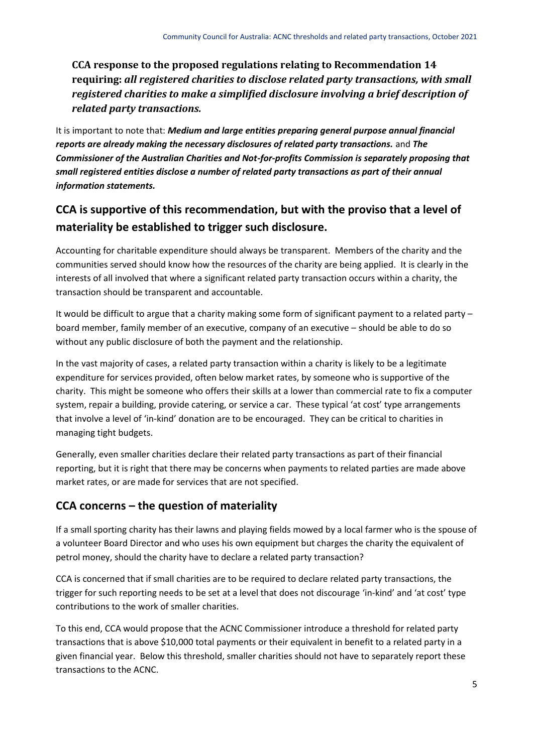### **CCA response to the proposed regulations relating to Recommendation 14 requiring:** *all registered charities to disclose related party transactions, with small registered charities to make a simplified disclosure involving a brief description of related party transactions.*

It is important to note that: *Medium and large entities preparing general purpose annual financial reports are already making the necessary disclosures of related party transactions.* and *The Commissioner of the Australian Charities and Not-for-profits Commission is separately proposing that small registered entities disclose a number of related party transactions as part of their annual information statements.*

# **CCA is supportive of this recommendation, but with the proviso that a level of materiality be established to trigger such disclosure.**

Accounting for charitable expenditure should always be transparent. Members of the charity and the communities served should know how the resources of the charity are being applied. It is clearly in the interests of all involved that where a significant related party transaction occurs within a charity, the transaction should be transparent and accountable.

It would be difficult to argue that a charity making some form of significant payment to a related party – board member, family member of an executive, company of an executive – should be able to do so without any public disclosure of both the payment and the relationship.

In the vast majority of cases, a related party transaction within a charity is likely to be a legitimate expenditure for services provided, often below market rates, by someone who is supportive of the charity. This might be someone who offers their skills at a lower than commercial rate to fix a computer system, repair a building, provide catering, or service a car. These typical 'at cost' type arrangements that involve a level of 'in-kind' donation are to be encouraged. They can be critical to charities in managing tight budgets.

Generally, even smaller charities declare their related party transactions as part of their financial reporting, but it is right that there may be concerns when payments to related parties are made above market rates, or are made for services that are not specified.

# **CCA concerns – the question of materiality**

If a small sporting charity has their lawns and playing fields mowed by a local farmer who is the spouse of a volunteer Board Director and who uses his own equipment but charges the charity the equivalent of petrol money, should the charity have to declare a related party transaction?

CCA is concerned that if small charities are to be required to declare related party transactions, the trigger for such reporting needs to be set at a level that does not discourage 'in-kind' and 'at cost' type contributions to the work of smaller charities.

To this end, CCA would propose that the ACNC Commissioner introduce a threshold for related party transactions that is above \$10,000 total payments or their equivalent in benefit to a related party in a given financial year. Below this threshold, smaller charities should not have to separately report these transactions to the ACNC.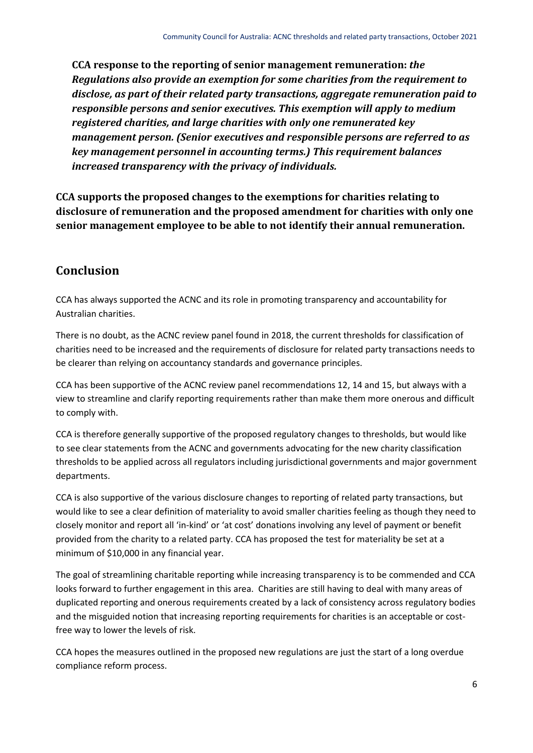**CCA response to the reporting of senior management remuneration:** *the Regulations also provide an exemption for some charities from the requirement to disclose, as part of their related party transactions, aggregate remuneration paid to responsible persons and senior executives. This exemption will apply to medium registered charities, and large charities with only one remunerated key management person. (Senior executives and responsible persons are referred to as key management personnel in accounting terms.) This requirement balances increased transparency with the privacy of individuals.*

**CCA supports the proposed changes to the exemptions for charities relating to disclosure of remuneration and the proposed amendment for charities with only one senior management employee to be able to not identify their annual remuneration.**

# **Conclusion**

CCA has always supported the ACNC and its role in promoting transparency and accountability for Australian charities.

There is no doubt, as the ACNC review panel found in 2018, the current thresholds for classification of charities need to be increased and the requirements of disclosure for related party transactions needs to be clearer than relying on accountancy standards and governance principles.

CCA has been supportive of the ACNC review panel recommendations 12, 14 and 15, but always with a view to streamline and clarify reporting requirements rather than make them more onerous and difficult to comply with.

CCA is therefore generally supportive of the proposed regulatory changes to thresholds, but would like to see clear statements from the ACNC and governments advocating for the new charity classification thresholds to be applied across all regulators including jurisdictional governments and major government departments.

CCA is also supportive of the various disclosure changes to reporting of related party transactions, but would like to see a clear definition of materiality to avoid smaller charities feeling as though they need to closely monitor and report all 'in-kind' or 'at cost' donations involving any level of payment or benefit provided from the charity to a related party. CCA has proposed the test for materiality be set at a minimum of \$10,000 in any financial year.

The goal of streamlining charitable reporting while increasing transparency is to be commended and CCA looks forward to further engagement in this area. Charities are still having to deal with many areas of duplicated reporting and onerous requirements created by a lack of consistency across regulatory bodies and the misguided notion that increasing reporting requirements for charities is an acceptable or costfree way to lower the levels of risk.

CCA hopes the measures outlined in the proposed new regulations are just the start of a long overdue compliance reform process.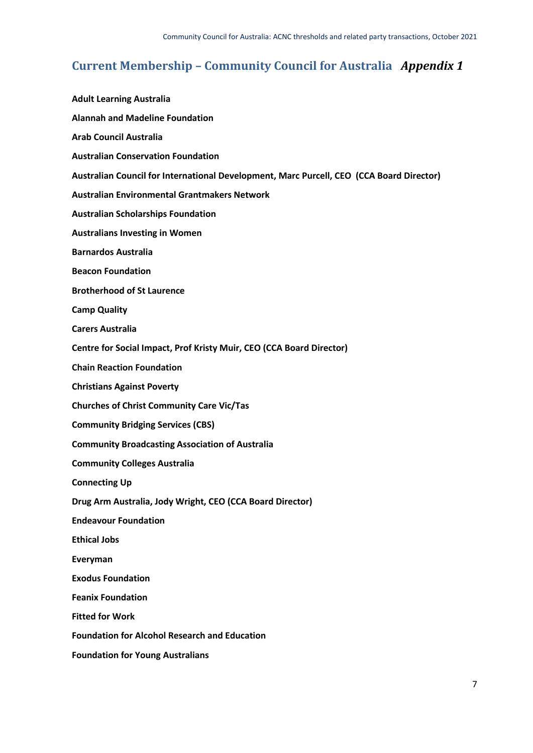# **Current Membership – Community Council for Australia** *Appendix 1*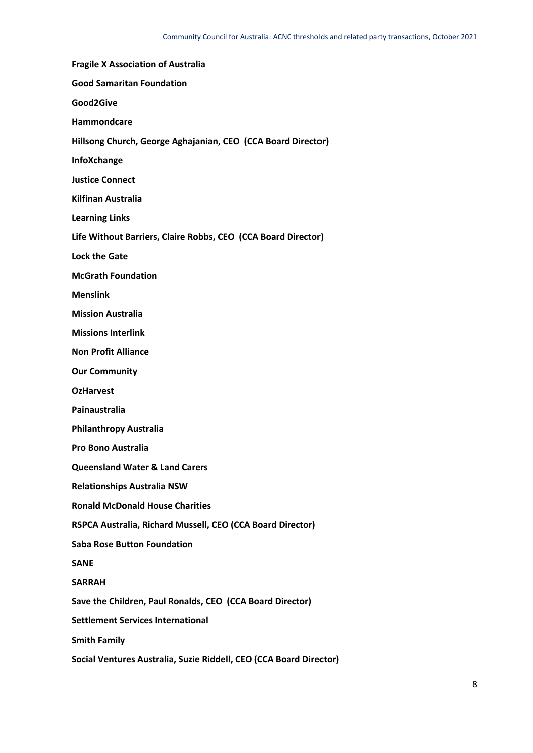**Fragile X Association of Australia Good Samaritan Foundation Good2Give Hammondcare Hillsong Church, George Aghajanian, CEO (CCA Board Director) InfoXchange Justice Connect Kilfinan Australia Learning Links Life Without Barriers, Claire Robbs, CEO (CCA Board Director) Lock the Gate McGrath Foundation Menslink Mission Australia Missions Interlink Non Profit Alliance Our Community OzHarvest Painaustralia Philanthropy Australia Pro Bono Australia Queensland Water & Land Carers Relationships Australia NSW Ronald McDonald House Charities RSPCA Australia, Richard Mussell, CEO (CCA Board Director) Saba Rose Button Foundation SANE SARRAH Save the Children, Paul Ronalds, CEO (CCA Board Director) Settlement Services International Smith Family Social Ventures Australia, Suzie Riddell, CEO (CCA Board Director)**